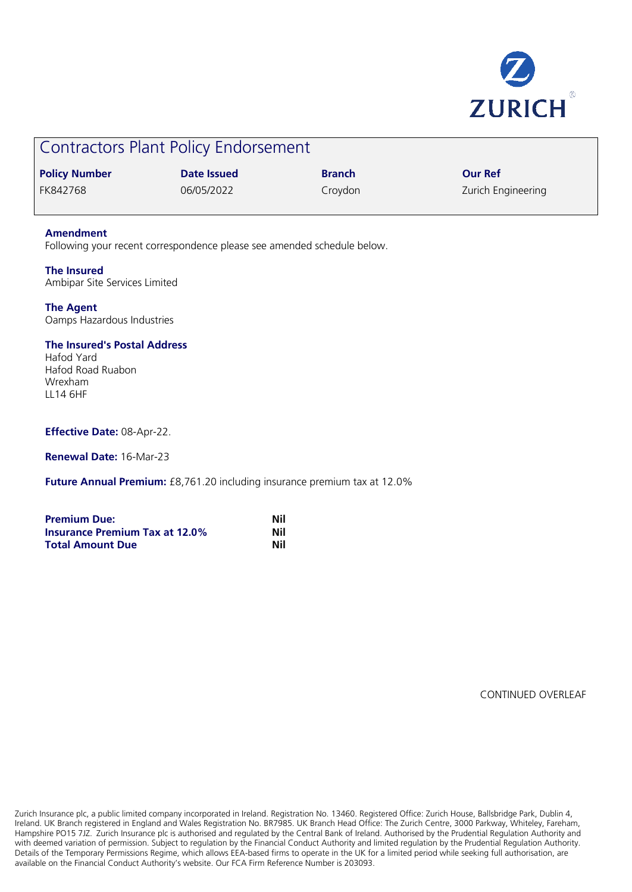

# Contractors Plant Policy Endorsement

| <b>Policy Number</b> | Date Issued | <b>Branch</b> | <b>Our Ref</b>     |
|----------------------|-------------|---------------|--------------------|
| FK842768             | 06/05/2022  | Croydon       | Zurich Engineering |

# **Amendment**

Following your recent correspondence please see amended schedule below.

**The Insured** Ambipar Site Services Limited

**The Agent** Oamps Hazardous Industries

## **The Insured's Postal Address**

Hafod Yard Hafod Road Ruabon Wrexham LL14 6HF

#### **Effective Date:** 08-Apr-22.

**Renewal Date:** 16-Mar-23

**Future Annual Premium:** £8,761.20 including insurance premium tax at 12.0%

| <b>Premium Due:</b>                   | Nil |
|---------------------------------------|-----|
| <b>Insurance Premium Tax at 12.0%</b> | Nil |
| <b>Total Amount Due</b>               | Nil |

CONTINUED OVERLEAF

Zurich Insurance plc, a public limited company incorporated in Ireland. Registration No. 13460. Registered Office: Zurich House, Ballsbridge Park, Dublin 4, Ireland. UK Branch registered in England and Wales Registration No. BR7985. UK Branch Head Office: The Zurich Centre, 3000 Parkway, Whiteley, Fareham, Hampshire PO15 7JZ. Zurich Insurance plc is authorised and regulated by the Central Bank of Ireland. Authorised by the Prudential Regulation Authority and with deemed variation of permission. Subject to regulation by the Financial Conduct Authority and limited regulation by the Prudential Regulation Authority. Details of the Temporary Permissions Regime, which allows EEA-based firms to operate in the UK for a limited period while seeking full authorisation, are available on the Financial Conduct Authority's website. Our FCA Firm Reference Number is 203093.